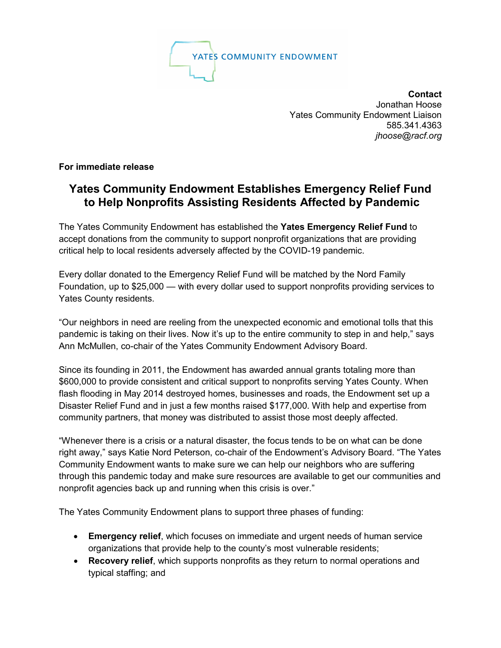

**Contact** Jonathan Hoose Yates Community Endowment Liaison 585.341.4363 *jhoose@racf.org*

**For immediate release**

## **Yates Community Endowment Establishes Emergency Relief Fund to Help Nonprofits Assisting Residents Affected by Pandemic**

The Yates Community Endowment has established the **Yates Emergency Relief Fund** to accept donations from the community to support nonprofit organizations that are providing critical help to local residents adversely affected by the COVID-19 pandemic.

Every dollar donated to the Emergency Relief Fund will be matched by the Nord Family Foundation, up to \$25,000 — with every dollar used to support nonprofits providing services to Yates County residents.

"Our neighbors in need are reeling from the unexpected economic and emotional tolls that this pandemic is taking on their lives. Now it's up to the entire community to step in and help," says Ann McMullen, co-chair of the Yates Community Endowment Advisory Board.

Since its founding in 2011, the Endowment has awarded annual grants totaling more than \$600,000 to provide consistent and critical support to nonprofits serving Yates County. When flash flooding in May 2014 destroyed homes, businesses and roads, the Endowment set up a Disaster Relief Fund and in just a few months raised \$177,000. With help and expertise from community partners, that money was distributed to assist those most deeply affected.

"Whenever there is a crisis or a natural disaster, the focus tends to be on what can be done right away," says Katie Nord Peterson, co-chair of the Endowment's Advisory Board. "The Yates Community Endowment wants to make sure we can help our neighbors who are suffering through this pandemic today and make sure resources are available to get our communities and nonprofit agencies back up and running when this crisis is over."

The Yates Community Endowment plans to support three phases of funding:

- **Emergency relief**, which focuses on immediate and urgent needs of human service organizations that provide help to the county's most vulnerable residents;
- **Recovery relief**, which supports nonprofits as they return to normal operations and typical staffing; and